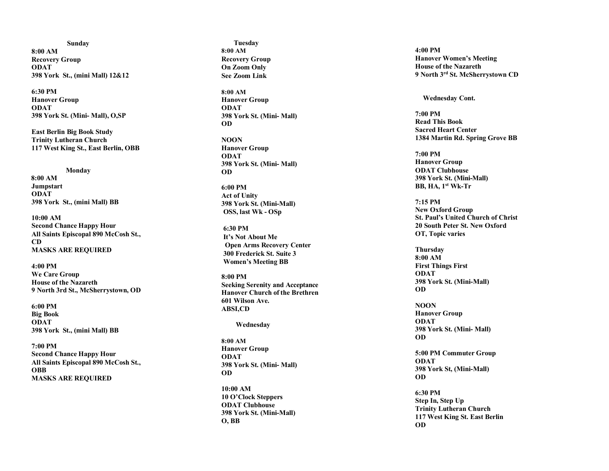**Sunday 8:00 AM Recovery Group ODAT 398 York St., (mini Mall) 12&12**

**6:30 PM Hanover Group ODAT 398 York St. (Mini - Mall), O,SP**

**East Berlin Big Book Study Trinity Lutheran Church 117 West King St., East Berlin, OBB**

 **Monday**

 **8:00 AM Jumpstart ODAT 398 York St., (mini Mall) BB**

**10:00 AM Second Chance Happy Hour All Saints Episcopal 890 McCosh St., CD MASKS ARE REQUIRED**

**4:00 PM We Care Group House of the Nazareth 9 North 3rd St., McSherrystown, OD**

**6:00 PM Big Book ODAT 398 York St., (mini Mall) BB**

**7:00 PM Second Chance Happy Hour All Saints Episcopal 890 McCosh St., OBB MASKS ARE REQUIRED**

 **Tuesday 8:00 AM Recovery Group On Zoom Only See Zoom Link**

**8:00 AM Hanover Group ODAT 398 York St. (Mini - Mall) OD**

**NOON Hanover Group ODAT 398 York St. (Mini - Mall) OD**

**6:00 PM Act of Unity 398 York St. (Mini -Mall) OSS, last W k - OSp**

**6:30 PM It's Not About Me Open Arms Recovery Center 300 Frederick St. Suite 3 Women's Meeting BB**

**8:00 PM Seeking Serenity and Acceptance Hanover Church of the Brethren 601 Wilson Ave. ABSI,CD**

 **Wednesday**

**8:00 AM Hanover Group ODAT 398 York St. (Mini - Mall) OD**

**10:00 AM 10 O'Clock Steppers ODAT Clubhouse 398 York St. (Mini -Mall) O, BB**

**4:00 PM Hanover Women's Meeting House of the Nazareth 9 North 3rd St. McSherrystown CD**

**Wednesday Cont.**

**7:0 0 PM Read This Book Sacred Heart Center 1384 Martin Rd. Spring Grove BB**

**7:00 PM Hanover Group ODAT Clubhouse 398 York St. (Mini -Mall) BB, HA, 1st W k -Tr**

**7:15 PM New Oxford Group St. Paul's United Church of Christ 20 South Peter St. New Oxford OT, Topic varies**

**Thursday 8:00 AM First Things First ODAT 398 York St. (Mini -Mall) OD**

**NOON Hanover Group ODAT 398 York St. (Mini - Mall) OD**

**5:00 PM Commuter Group ODAT 398 York St, (Mini -Mall) OD**

**6:30 PM Step In, Step Up Trinity Lutheran Church 117 West King St. East Berlin OD**